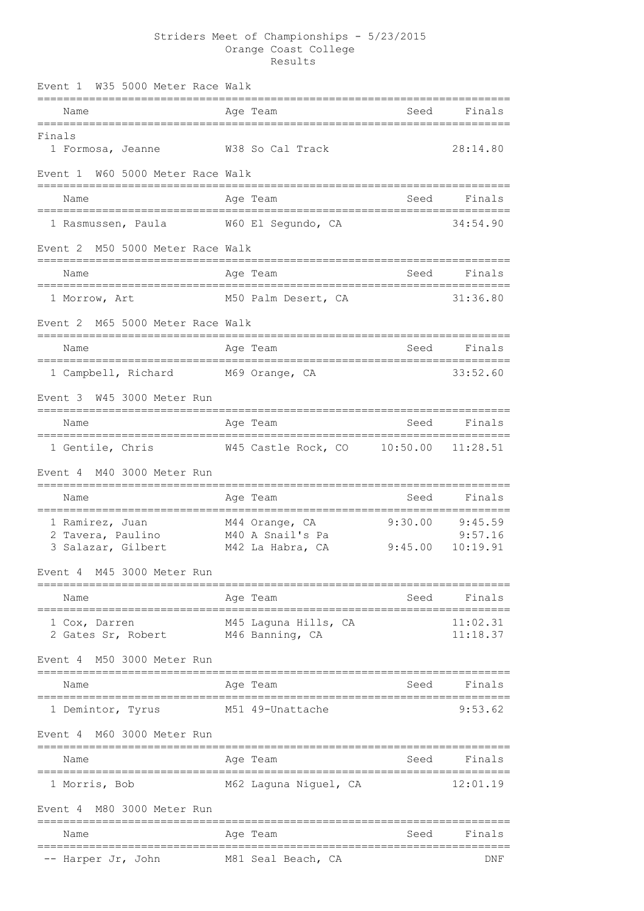## Striders Meet of Championships - 5/23/2015 Orange Coast College Results

| Event 1 |               |                                      | W35 5000 Meter Race Walk         |  |                                         |          |                      |
|---------|---------------|--------------------------------------|----------------------------------|--|-----------------------------------------|----------|----------------------|
|         | Name          |                                      |                                  |  | Age Team                                | Seed     | Finals               |
| Finals  |               | 1 Formosa, Jeanne                    |                                  |  | W38 So Cal Track                        |          | 28:14.80             |
| Event 1 |               |                                      | W60 5000 Meter Race Walk         |  |                                         |          |                      |
|         | Name          |                                      |                                  |  | Age Team                                | Seed     | Finals               |
|         |               | 1 Rasmussen, Paula                   |                                  |  | W60 El Segundo, CA                      |          | 34:54.90             |
|         |               |                                      | Event 2 M50 5000 Meter Race Walk |  |                                         |          |                      |
|         | Name          |                                      |                                  |  | Age Team                                | Seed     | Finals               |
|         | 1 Morrow, Art |                                      |                                  |  | M50 Palm Desert, CA                     |          | 31:36.80             |
| Event 2 |               |                                      | M65 5000 Meter Race Walk         |  |                                         |          |                      |
|         | Name          |                                      | ==============                   |  | Age Team                                | Seed     | Finals               |
|         |               | 1 Campbell, Richard                  |                                  |  | M69 Orange, CA                          |          | 33:52.60             |
| Event 3 |               |                                      | W45 3000 Meter Run               |  |                                         |          |                      |
|         | Name          |                                      |                                  |  | Age Team                                | Seed     | Finals               |
|         |               | 1 Gentile, Chris                     |                                  |  | W45 Castle Rock, CO                     | 10:50.00 | 11:28.51             |
| Event 4 |               |                                      | M40 3000 Meter Run               |  |                                         |          |                      |
|         | Name          |                                      |                                  |  | Age Team                                | Seed     | Finals               |
|         |               | 1 Ramirez, Juan<br>2 Tavera, Paulino |                                  |  | M44 Orange, CA<br>M40 A Snail's Pa      | 9:30.00  | 9:45.59<br>9:57.16   |
|         |               | 3 Salazar, Gilbert                   |                                  |  | M42 La Habra, CA                        | 9:45.00  | 10:19.91             |
| Event 4 |               |                                      | M45 3000 Meter Run               |  |                                         |          |                      |
|         | Name          |                                      |                                  |  | Age Team                                | Seed     | Finals               |
|         | 1 Cox, Darren | 2 Gates Sr, Robert                   |                                  |  | M45 Laguna Hills, CA<br>M46 Banning, CA |          | 11:02.31<br>11:18.37 |
| Event 4 |               |                                      | M50 3000 Meter Run               |  |                                         |          |                      |
|         | Name          |                                      |                                  |  | Age Team                                | Seed     | Finals               |
|         |               | 1 Demintor, Tyrus                    |                                  |  | M51 49-Unattache                        |          | 9:53.62              |
| Event 4 |               |                                      | M60 3000 Meter Run               |  |                                         |          |                      |
|         | Name          |                                      |                                  |  | Age Team                                | Seed     | Finals               |
|         | 1 Morris, Bob |                                      |                                  |  | M62 Laguna Niguel, CA                   |          | 12:01.19             |
| Event 4 |               |                                      | M80 3000 Meter Run               |  |                                         |          |                      |
|         | Name          |                                      |                                  |  | Age Team                                | Seed     | Finals               |
|         |               | -- Harper Jr, John                   |                                  |  | M81 Seal Beach, CA                      |          | DNF                  |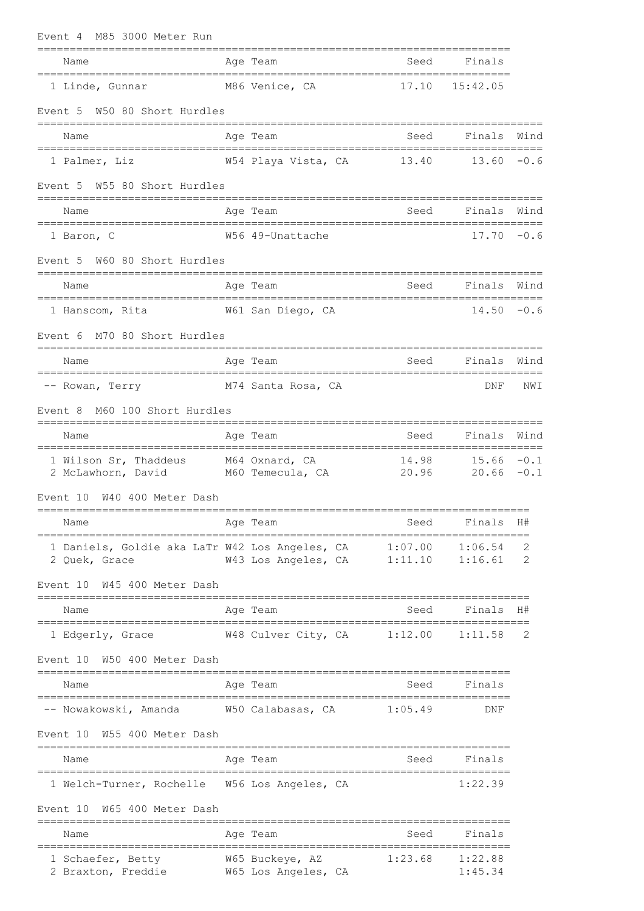| M85 3000 Meter Run<br>Event 4                                               |                                              |                   |                                |        |
|-----------------------------------------------------------------------------|----------------------------------------------|-------------------|--------------------------------|--------|
| Name                                                                        | Age Team                                     | Seed              | Finals                         |        |
| 1 Linde, Gunnar                                                             | M86 Venice, CA                               | 17.10             | 15:42.05                       |        |
| Event 5 W50 80 Short Hurdles                                                |                                              |                   |                                |        |
| Name                                                                        | Age Team                                     | Seed              | Finals                         | Wind   |
| 1 Palmer, Liz                                                               | W54 Playa Vista, CA 13.40                    |                   | $13.60 - 0.6$                  |        |
| W55 80 Short Hurdles<br>Event 5                                             |                                              |                   |                                |        |
| Name                                                                        | Age Team                                     | Seed              | Finals                         | Wind   |
| 1 Baron, C                                                                  | W56 49-Unattache                             |                   | $17.70 - 0.6$                  |        |
| W60 80 Short Hurdles<br>Event 5                                             |                                              |                   |                                |        |
| Name                                                                        | Age Team                                     | Seed              | Finals                         | Wind   |
| 1 Hanscom, Rita 61 W61 San Diego, CA                                        |                                              |                   | $14.50 - 0.6$                  |        |
| M70 80 Short Hurdles<br>Event 6                                             |                                              |                   |                                |        |
| Name                                                                        | Age Team                                     | Seed              | Finals Wind                    |        |
| -- Rowan, Terry                                                             | M74 Santa Rosa, CA                           |                   | DNF                            | NWI    |
| M60 100 Short Hurdles<br>Event 8                                            |                                              |                   |                                |        |
| Name                                                                        | Age Team                                     | Seed              | Finals                         | Wind   |
| 1 Wilson Sr, Thaddeus M64 Oxnard, CA<br>2 McLawhorn, David M60 Temecula, CA |                                              | 14.98<br>20.96    | $15.66 - 0.1$<br>$20.66 - 0.1$ |        |
| W40 400 Meter Dash<br>Event 10<br>=============                             |                                              |                   |                                |        |
| Name                                                                        | Age Team                                     | Seed<br>:======== | Finals                         | H#     |
| 1 Daniels, Goldie aka LaTr W42 Los Angeles, CA<br>2 Quek, Grace             | W43 Los Angeles, CA 1:11.10                  | 1:07.00           | 1:06.54<br>1:16.61             | 2<br>2 |
| W45 400 Meter Dash<br>Event 10<br>==================================        |                                              |                   |                                |        |
| Name<br>================================                                    | Age Team<br>-------------------------------- | Seed              | Finals                         | H#     |
| 1 Edgerly, Grace                                                            | W48 Culver City, CA                          | 1:12.00           | 1:11.58                        | 2      |
| W50 400 Meter Dash<br>Event 10                                              | __________                                   |                   |                                |        |
| Name                                                                        | Age Team                                     | Seed              | Finals                         |        |
| -- Nowakowski, Amanda     W50 Calabasas, CA                                 |                                              | 1:05.49           | DNF                            |        |
| W55 400 Meter Dash<br>Event 10                                              |                                              |                   |                                |        |
| Name                                                                        | Age Team                                     | Seed              | Finals                         |        |
| 1 Welch-Turner, Rochelle W56 Los Angeles, CA                                |                                              |                   | 1:22.39                        |        |
| W65 400 Meter Dash<br>Event 10                                              |                                              |                   |                                |        |
| Name                                                                        | Age Team                                     | Seed              | Finals                         |        |
| 1 Schaefer, Betty<br>2 Braxton, Freddie                                     | W65 Buckeye, AZ<br>W65 Los Angeles, CA       | 1:23.68           | 1:22.88<br>1:45.34             |        |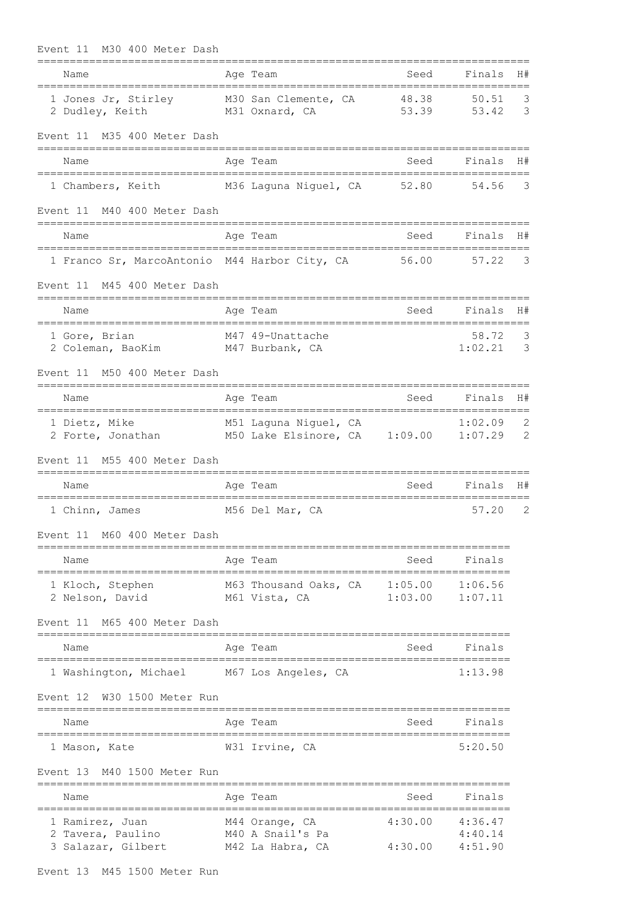| M30 400 Meter Dash<br>Event 11                                   |                                                        |                                     |                               |                |
|------------------------------------------------------------------|--------------------------------------------------------|-------------------------------------|-------------------------------|----------------|
| Name                                                             | Age Team                                               | Seed<br>=========================== | Finals                        | H#             |
| 1 Jones Jr, Stirley<br>2 Dudley, Keith                           | M30 San Clemente, CA<br>M31 Oxnard, CA                 | 48.38<br>53.39                      | 50.51<br>53.42                | 3<br>3         |
| M35 400 Meter Dash<br>Event 11                                   |                                                        |                                     |                               |                |
| Name                                                             | Age Team                                               | Seed                                | Finals                        | H#             |
| 1 Chambers, Keith M36 Laguna Niguel, CA 52.80                    |                                                        |                                     | 54.56                         | 3              |
| Event 11<br>M40 400 Meter Dash                                   |                                                        |                                     |                               |                |
| Name                                                             | Age Team                                               | Seed                                | Finals                        | H#             |
| 1 Franco Sr, MarcoAntonio M44 Harbor City, CA                    |                                                        | 56.00                               | 57.22                         | 3              |
| M45 400 Meter Dash<br>Event 11                                   |                                                        |                                     |                               |                |
| Name                                                             | Age Team                                               | Seed                                | Finals                        | H#             |
| 1 Gore, Brian<br>2 Coleman, BaoKim M47 Burbank, CA               | M47 49-Unattache                                       |                                     | 58.72<br>1:02.21              | 3<br>3         |
| M50 400 Meter Dash<br>Event 11                                   |                                                        |                                     |                               |                |
| Name<br>-------------------------------------                    | Age Team<br>__________________________________         | Seed                                | Finals                        | H#             |
| 1 Dietz, Mike<br>2 Forte, Jonathan M50 Lake Elsinore, CA 1:09.00 | M51 Laguna Niguel, CA                                  |                                     | 1:02.09<br>1:07.29            | 2<br>2         |
| M55 400 Meter Dash<br>Event 11                                   |                                                        |                                     |                               |                |
| Name                                                             | Age Team                                               | Seed                                | Finals                        | H#             |
| 1 Chinn, James                                                   | M56 Del Mar, CA                                        |                                     | 57.20                         | $\overline{2}$ |
| Event 11 M60 400 Meter Dash                                      |                                                        |                                     |                               |                |
| Name                                                             | Age Team                                               | Seed                                | Finals                        |                |
| 1 Kloch, Stephen<br>2 Nelson, David                              | M63 Thousand Oaks, CA 1:05.00<br>M61 Vista, CA         | 1:03.00                             | 1:06.56<br>1:07.11            |                |
| M65 400 Meter Dash<br>Event 11                                   | =======                                                |                                     |                               |                |
| Name                                                             | Age Team                                               | Seed                                | Finals                        |                |
| 1 Washington, Michael                                            | M67 Los Angeles, CA                                    |                                     | 1:13.98                       |                |
| Event 12 W30 1500 Meter Run                                      |                                                        |                                     |                               |                |
| Name<br>----------------                                         | Age Team                                               | Seed                                | Finals                        |                |
| 1 Mason, Kate                                                    | W31 Irvine, CA                                         |                                     | 5:20.50                       |                |
| M40 1500 Meter Run<br>Event 13                                   |                                                        |                                     |                               |                |
| Name                                                             | Age Team                                               | Seed                                | Finals                        |                |
| 1 Ramirez, Juan<br>2<br>Tavera, Paulino<br>3 Salazar, Gilbert    | M44 Orange, CA<br>M40 A Snail's Pa<br>M42 La Habra, CA | 4:30.00<br>4:30.00                  | 4:36.47<br>4:40.14<br>4:51.90 |                |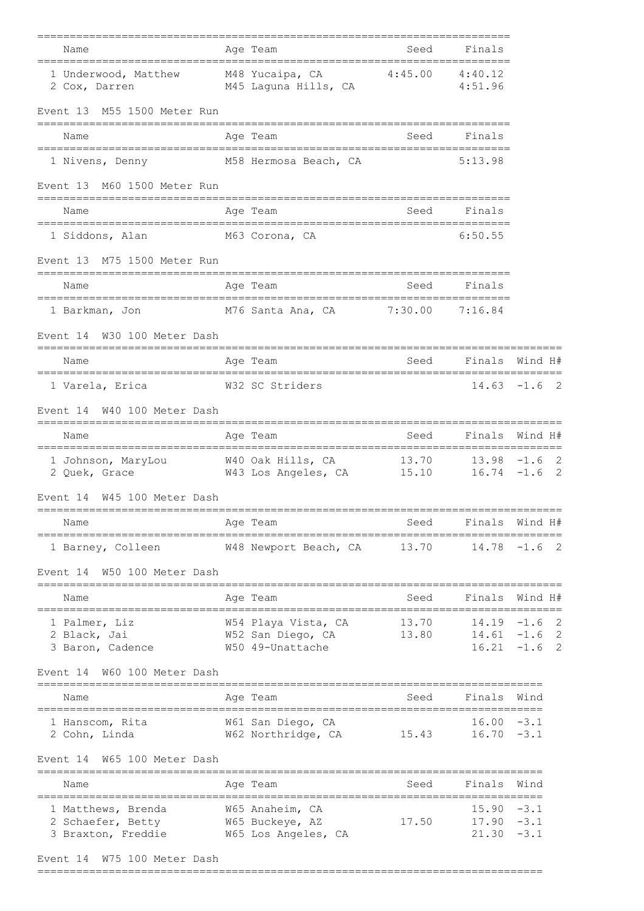| Finals<br>Age Team<br>Seed                                                                                                                                          | Name                                                          |
|---------------------------------------------------------------------------------------------------------------------------------------------------------------------|---------------------------------------------------------------|
| 1 Underwood, Matthew M48 Yucaipa, CA 4:45.00 4:40.12<br>M45 Laguna Hills, CA and 4:51.96                                                                            | 2 Cox, Darren                                                 |
|                                                                                                                                                                     | Event 13 M55 1500 Meter Run                                   |
| Finals<br>Age Team<br>Seed                                                                                                                                          | Name                                                          |
| 5:13.98<br>M58 Hermosa Beach, CA                                                                                                                                    | 1 Nivens, Denny                                               |
|                                                                                                                                                                     | Event 13 M60 1500 Meter Run                                   |
| Age Team<br>Seed<br>Finals                                                                                                                                          | Name                                                          |
| M63 Corona, CA<br>6:50.55                                                                                                                                           | 1 Siddons, Alan                                               |
|                                                                                                                                                                     | Event 13 M75 1500 Meter Run                                   |
| Finals<br>Age Team<br>Seed                                                                                                                                          | Name                                                          |
| -----------------------------------<br>M76 Santa Ana, CA 7:30.00 7:16.84                                                                                            | =====================================<br>1 Barkman, Jon       |
|                                                                                                                                                                     | W30 100 Meter Dash<br>Event 14                                |
| ----------<br><b>Seed</b><br>Finals Wind H#<br>Age Team                                                                                                             | Name                                                          |
| ===========================<br>W32 SC Striders<br>$14.63 - 1.6$ 2                                                                                                   | 1 Varela, Erica                                               |
|                                                                                                                                                                     | Event 14 W40 100 Meter Dash                                   |
| Finals<br>Wind H#<br>Age Team<br>Seed                                                                                                                               | Name                                                          |
|                                                                                                                                                                     | _____________________________________                         |
|                                                                                                                                                                     | W45 100 Meter Dash<br>Event 14                                |
| Finals<br>Wind H#<br>Seed<br>Age Team                                                                                                                               | Name                                                          |
| 13.70<br>$14.78 - 1.6$ 2<br>W48 Newport Beach, CA                                                                                                                   | 1 Barney, Colleen                                             |
| -----------------                                                                                                                                                   | W50 100 Meter Dash<br>Event 14                                |
| Finals<br>Wind H#<br>Age Team<br>Seed                                                                                                                               | Name                                                          |
| $\overline{\phantom{0}}^2$<br>$14.19 - 1.6$<br>W54 Playa Vista, CA<br>13.70<br>$14.61 - 1.6$ 2<br>W52 San Diego, CA<br>13.80<br>$16.21 - 1.6$ 2<br>W50 49-Unattache | 1 Palmer, Liz<br>2 Black, Jai<br>3 Baron, Cadence             |
|                                                                                                                                                                     | W60 100 Meter Dash<br>Event 14                                |
| Age Team<br>Finals<br>Wind<br>Seed                                                                                                                                  | Name                                                          |
| =========<br>$16.00 - 3.1$<br>W61 San Diego, CA<br>15.43<br>W62 Northridge, CA<br>$16.70 - 3.1$                                                                     | 1 Hanscom, Rita<br>2 Cohn, Linda                              |
|                                                                                                                                                                     | W65 100 Meter Dash<br>Event 14                                |
| Finals<br>Wind<br>Seed<br>Age Team<br>---------------------------                                                                                                   | Name<br>================================                      |
| $15.90 - 3.1$<br>W65 Anaheim, CA<br>W65 Buckeye, AZ<br>17.50<br>$17.90 - 3.1$<br>W65 Los Angeles, CA<br>$21.30 -3.1$                                                | 1 Matthews, Brenda<br>2 Schaefer, Betty<br>3 Braxton, Freddie |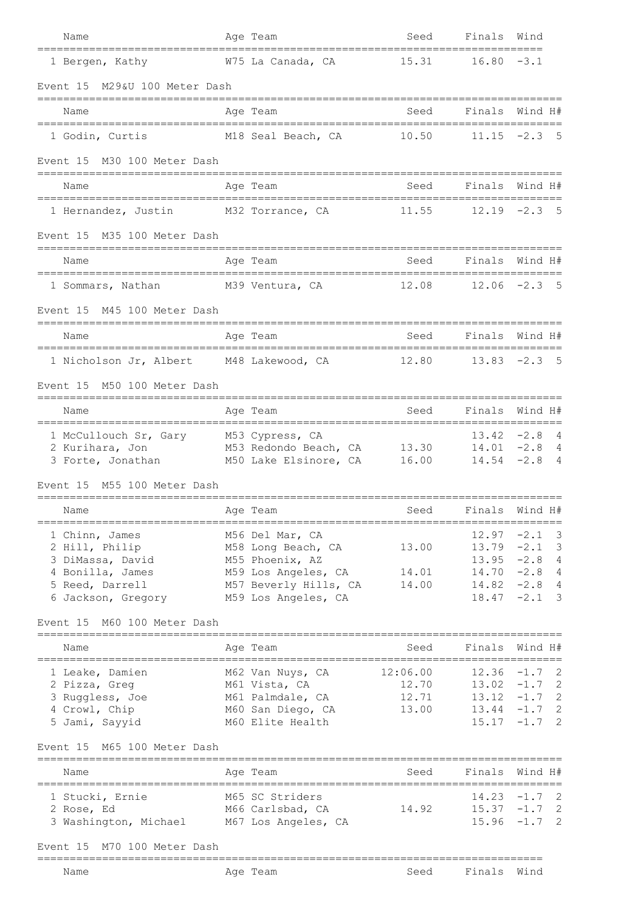| Name                                                                                         | Age Team                                              | Seed                               | Finals Wind           |                                    |
|----------------------------------------------------------------------------------------------|-------------------------------------------------------|------------------------------------|-----------------------|------------------------------------|
| 1 Bergen, Kathy                                                                              | W75 La Canada, CA                                     | 15.31                              | $16.80 - 3.1$         |                                    |
| M29&U 100 Meter Dash<br>Event 15                                                             |                                                       |                                    |                       |                                    |
| Name                                                                                         | Age Team                                              | Seed<br>----------------------     | Finals                | Wind H#                            |
| 1 Godin, Curtis                                                                              | M18 Seal Beach, CA                                    | 10.50                              | 11.15                 | - 5<br>$-2.3$                      |
| Event 15 M30 100 Meter Dash                                                                  |                                                       |                                    |                       |                                    |
| Name                                                                                         | Age Team                                              | Seed                               |                       | Finals Wind H#                     |
| ===============================<br>1 Hernandez, Justin M32 Torrance, CA                      |                                                       | 11.55                              |                       | $12.19 - 2.3$ 5                    |
| M35 100 Meter Dash<br>Event 15                                                               |                                                       |                                    |                       |                                    |
| Name                                                                                         | Age Team                                              | Seed                               | Finals                | Wind H#                            |
| ====================================<br>1 Sommars, Nathan                                    | ==================================<br>M39 Ventura, CA | 12.08                              |                       | $12.06 -2.3$ 5                     |
| Event 15 M45 100 Meter Dash                                                                  |                                                       |                                    |                       |                                    |
| Name                                                                                         | Age Team                                              | Seed                               | -------------------   | Finals Wind H#                     |
| 1 Nicholson Jr, Albert M48 Lakewood, CA                                                      |                                                       | 12.80                              |                       | $13.83 -2.3$ 5                     |
| Event 15 M50 100 Meter Dash                                                                  |                                                       |                                    |                       |                                    |
| Name                                                                                         | Age Team                                              | Seed                               | Finals                | Wind H#                            |
| 1 McCullouch Sr, Gary M53 Cypress, CA                                                        |                                                       |                                    |                       | $13.42 -2.8$ 4                     |
| 2 Kurihara, Jon M53 Redondo Beach, CA 13.30<br>3 Forte, Jonathan M50 Lake Elsinore, CA 16.00 |                                                       |                                    |                       | $14.01 - 2.8$ 4<br>$14.54 - 2.8 4$ |
| Event 15<br>M55 100 Meter Dash                                                               |                                                       |                                    |                       |                                    |
| Name                                                                                         | Age Team                                              | Seed                               |                       | Finals Wind H#                     |
| 1 Chinn, James                                                                               | M56 Del Mar, CA                                       |                                    |                       | $12.97 - 2.1$ 3                    |
| 2 Hill, Philip<br>3 DiMassa, David                                                           | M58 Long Beach, CA<br>M55 Phoenix, AZ                 | 13.00                              |                       | $13.79 - 2.1$ 3<br>$13.95 -2.8 4$  |
| 4 Bonilla, James                                                                             | M59 Los Angeles, CA 14.01                             |                                    |                       | $14.70 - 2.8 4$                    |
| 5 Reed, Darrell                                                                              | M57 Beverly Hills, CA                                 | 14.00                              |                       | $14.82 - 2.8 4$                    |
| 6 Jackson, Gregory M59 Los Angeles, CA                                                       |                                                       |                                    |                       | $18.47 - 2.1$ 3                    |
| Event 15 M60 100 Meter Dash                                                                  |                                                       |                                    | ===================== |                                    |
| Name                                                                                         | Age Team                                              | Seed                               | Finals                | Wind H#                            |
| 1 Leake, Damien                                                                              | M62 Van Nuys, CA                                      | 12:06.00                           |                       | $12.36 -1.7$ 2                     |
| 2 Pizza, Greg<br>3 Ruggless, Joe                                                             | M61 Vista, CA                                         | 12.70<br>12.71                     |                       | $13.02 -1.7$ 2<br>$13.12 -1.7$ 2   |
| 4 Crowl, Chip                                                                                | M61 Palmdale, CA<br>M60 San Diego, CA                 | 13.00                              |                       | $13.44 - 1.7$ 2                    |
| 5 Jami, Sayyid                                                                               | M60 Elite Health                                      |                                    |                       | $15.17 - 1.7$ 2                    |
| M65 100 Meter Dash<br>Event 15                                                               |                                                       |                                    |                       |                                    |
| Name<br>;=================================                                                   | Age Team                                              | Seed<br>========================== |                       | Finals Wind H#                     |
| 1 Stucki, Ernie                                                                              | M65 SC Striders                                       |                                    |                       | $14.23 - 1.7$ 2                    |
| 2 Rose, Ed<br>3 Washington, Michael M67 Los Angeles, CA                                      | M66 Carlsbad, CA                                      | 14.92                              |                       | $15.37 -1.7$ 2<br>$15.96 -1.7$ 2   |
|                                                                                              |                                                       |                                    |                       |                                    |
| Event 15 M70 100 Meter Dash                                                                  |                                                       |                                    |                       |                                    |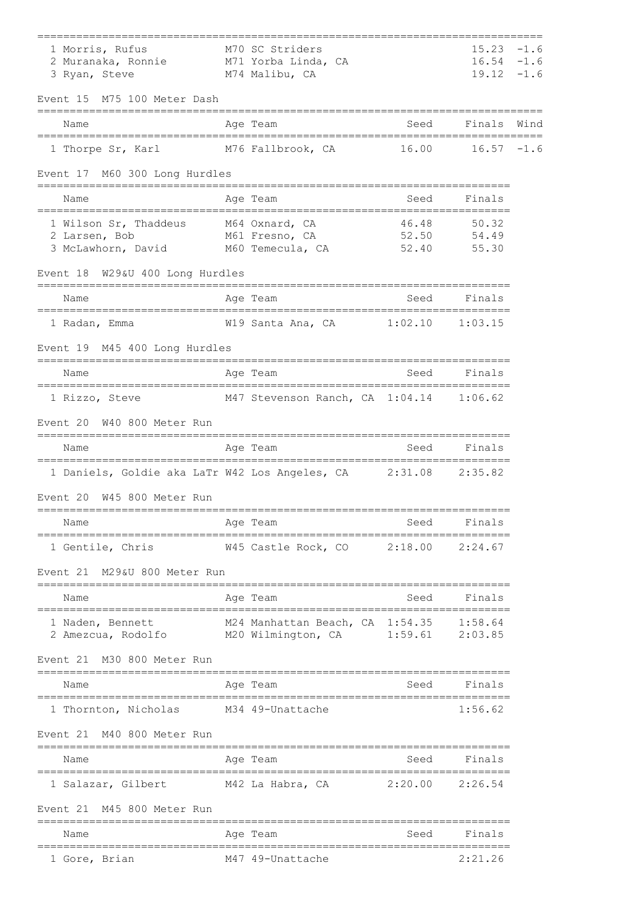| 1 Morris, Rufus<br>2 Muranaka, Ronnie M71 Yorba Linda, CA<br>3 Ryan, Steve                                           | M70 SC Striders<br>M74 Malibu, CA                                         |                     | $15.23 - 1.6$<br>$16.54 - 1.6$<br>$19.12 - 1.6$ |      |
|----------------------------------------------------------------------------------------------------------------------|---------------------------------------------------------------------------|---------------------|-------------------------------------------------|------|
| M75 100 Meter Dash<br>Event 15                                                                                       |                                                                           |                     |                                                 |      |
| Name                                                                                                                 | Age Team                                                                  | Seed                | Finals                                          | Wind |
| 1 Thorpe Sr, Karl M76 Fallbrook, CA                                                                                  |                                                                           | 16.00               | $16.57 - 1.6$                                   |      |
| Event 17 M60 300 Long Hurdles<br>----------------------                                                              | ______________________________                                            |                     |                                                 |      |
| Name                                                                                                                 | Age Team                                                                  | Seed                | Finals                                          |      |
| 1 Wilson Sr, Thaddeus M64 Oxnard, CA<br>M61 Fresno, CA<br>2 Larsen, Bob<br>3 McLawhorn, David M60 Temecula, CA 52.40 | 52.50                                                                     | 46.48               | 50.32<br>54.49<br>55.30                         |      |
| Event 18 W29&U 400 Long Hurdles                                                                                      |                                                                           |                     |                                                 |      |
| Name                                                                                                                 | Age Team                                                                  | Seed                | Finals                                          |      |
| ===================================<br>1 Radan, Emma                                                                 | :===================================<br>W19 Santa Ana, CA 1:02.10 1:03.15 |                     |                                                 |      |
| Event 19 M45 400 Long Hurdles                                                                                        |                                                                           |                     |                                                 |      |
| Name                                                                                                                 | Age Team                                                                  | Seed                | Finals                                          |      |
| 1 Rizzo, Steve                                                                                                       | M47 Stevenson Ranch, CA 1:04.14 1:06.62                                   |                     |                                                 |      |
| W40 800 Meter Run<br>Event 20                                                                                        |                                                                           |                     |                                                 |      |
| Name                                                                                                                 | Age Team                                                                  |                     | Seed Finals                                     |      |
| 1 Daniels, Goldie aka LaTr W42 Los Angeles, CA 2:31.08 2:35.82                                                       |                                                                           |                     |                                                 |      |
| W45 800 Meter Run<br>Event 20                                                                                        |                                                                           |                     |                                                 |      |
| Name                                                                                                                 | Age Team                                                                  | Seed                | Finals                                          |      |
| 1 Gentile, Chris                                                                                                     | W45 Castle Rock, CO 2:18.00                                               |                     | 2:24.67                                         |      |
| M29&U 800 Meter Run<br>Event 21                                                                                      |                                                                           |                     |                                                 |      |
| Name                                                                                                                 | Age Team                                                                  | Seed                | Finals                                          |      |
| 1 Naden, Bennett<br>2 Amezcua, Rodolfo M20 Wilmington, CA                                                            | M24 Manhattan Beach, CA 1:54.35 1:58.64                                   | $1:59.61$ $2:03.85$ |                                                 |      |
| M30 800 Meter Run<br>Event 21                                                                                        |                                                                           |                     |                                                 |      |
| Name                                                                                                                 | Aqe Team                                                                  | Seed                | Finals                                          |      |
| 1 Thornton, Nicholas                                                                                                 | M34 49-Unattache                                                          |                     | 1:56.62                                         |      |
| Event 21 M40 800 Meter Run                                                                                           |                                                                           |                     |                                                 |      |
| Name                                                                                                                 | Age Team                                                                  | Seed                | Finals                                          |      |
| 1 Salazar, Gilbert M42 La Habra, CA 2:20.00 2:26.54                                                                  |                                                                           |                     |                                                 |      |
| Event 21 M45 800 Meter Run                                                                                           |                                                                           |                     |                                                 |      |
| Name                                                                                                                 | Aqe Team                                                                  | Seed                | Finals                                          |      |
| 1 Gore, Brian                                                                                                        | M47 49-Unattache                                                          |                     | 2:21.26                                         |      |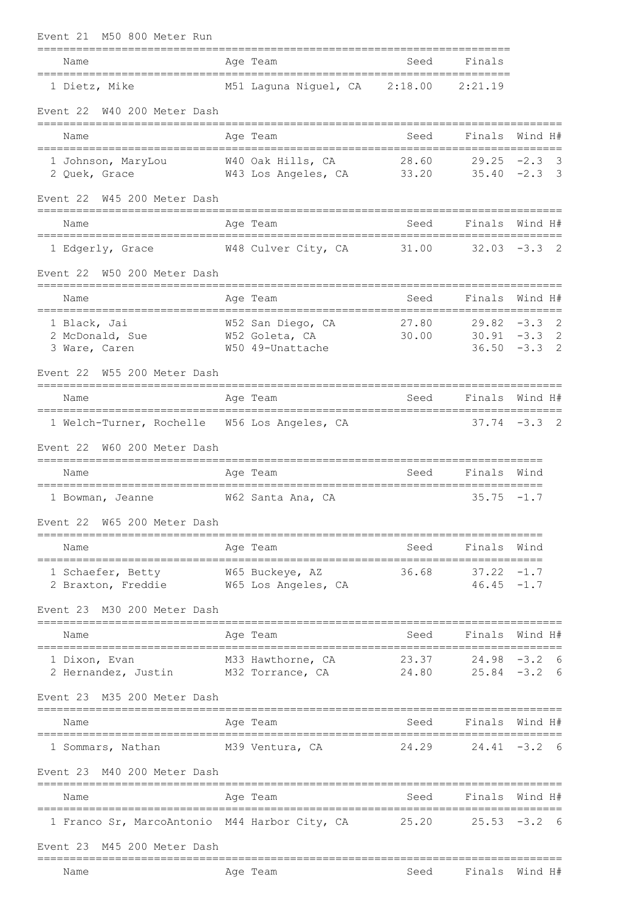| M50 800 Meter Run<br>Event 21                                                  |                                                         |                          |                                |                                                                     |
|--------------------------------------------------------------------------------|---------------------------------------------------------|--------------------------|--------------------------------|---------------------------------------------------------------------|
| Name                                                                           | Age Team                                                | Seed                     | Finals                         |                                                                     |
| ==============================<br>1 Dietz, Mike                                | ______________________<br>M51 Laguna Niguel, CA         | 2:18.00                  | 2:21.19                        |                                                                     |
| W40 200 Meter Dash<br>Event 22                                                 |                                                         |                          |                                |                                                                     |
| Name                                                                           | Age Team                                                | Seed                     | Finals                         | Wind H#                                                             |
| 1 Johnson, MaryLou<br>2 Quek, Grace                                            | W40 Oak Hills, CA<br>W43 Los Angeles, CA 33.20          | 28.60                    | 29.25<br>$35.40 -2.3$          | $-2.3$<br>- 3<br>- 3                                                |
| Event 22<br>W45 200 Meter Dash                                                 |                                                         |                          |                                |                                                                     |
| Name                                                                           | Age Team                                                | Seed                     | Finals                         | Wind H#                                                             |
| 1 Edgerly, Grace                                                               | W48 Culver City, CA                                     | 31.00                    |                                | $32.03 - 3.3$ 2                                                     |
| W50 200 Meter Dash<br>Event 22                                                 |                                                         |                          |                                |                                                                     |
| Name                                                                           | Age Team                                                | Seed                     | Finals                         | Wind H#                                                             |
| 1 Black, Jai<br>2 McDonald, Sue<br>3 Ware, Caren                               | W52 San Diego, CA<br>W52 Goleta, CA<br>W50 49-Unattache | 27.80<br>30.00           | $29.82 - 3.3$                  | $\overline{\phantom{0}}^2$<br>$30.91 - 3.3$ 2<br>2<br>$36.50 - 3.3$ |
| Event 22<br>W55 200 Meter Dash                                                 |                                                         |                          |                                |                                                                     |
| Name                                                                           | Age Team                                                | Seed                     | Finals                         | Wind H#                                                             |
| 1 Welch-Turner, Rochelle W56 Los Angeles, CA<br>Event 22<br>W60 200 Meter Dash |                                                         |                          |                                | $37.74 - 3.3$ 2                                                     |
| Name                                                                           | Age Team                                                | Seed                     | Finals                         | Wind                                                                |
| ===============<br>===================<br>1 Bowman, Jeanne                     | W62 Santa Ana, CA                                       |                          | 35.75                          | $-1.7$                                                              |
| Event 22 W65 200 Meter Dash<br>=====================                           |                                                         |                          |                                |                                                                     |
| Name                                                                           | Age Team                                                | Seed                     | Finals                         | Wind                                                                |
| 1 Schaefer, Betty<br>2 Braxton, Freddie M65 Los Angeles, CA                    | W65 Buckeye, AZ                                         | 36.68                    | $37.22 - 1.7$<br>$46.45 - 1.7$ |                                                                     |
| Event 23 M30 200 Meter Dash                                                    |                                                         |                          |                                |                                                                     |
| Name                                                                           | Age Team                                                | Seed                     | Finals                         | Wind H#                                                             |
| 1 Dixon, Evan<br>2 Hernandez, Justin M32 Torrance, CA                          | M33 Hawthorne, CA                                       | 23.37<br>24.80           |                                | $24.98 - 3.2$ 6<br>$25.84 - 3.2$ 6                                  |
| Event 23 M35 200 Meter Dash                                                    |                                                         |                          |                                |                                                                     |
| Name                                                                           | Age Team                                                | Seed                     |                                | Finals Wind H#                                                      |
| 1 Sommars, Nathan M39 Ventura, CA                                              |                                                         | $24.29$ $24.41$ $-3.2$ 6 |                                |                                                                     |
| M40 200 Meter Dash<br>Event 23                                                 |                                                         |                          |                                |                                                                     |
| Name                                                                           | Age Team                                                | Seed                     |                                | Finals Wind H#                                                      |
| 1 Franco Sr, MarcoAntonio M44 Harbor City, CA 25.20                            |                                                         |                          | ===============                | $25.53 - 3.2$ 6                                                     |
| Event 23 M45 200 Meter Dash                                                    |                                                         |                          |                                |                                                                     |
| Name                                                                           | Age Team                                                |                          | Seed Finals Wind H#            |                                                                     |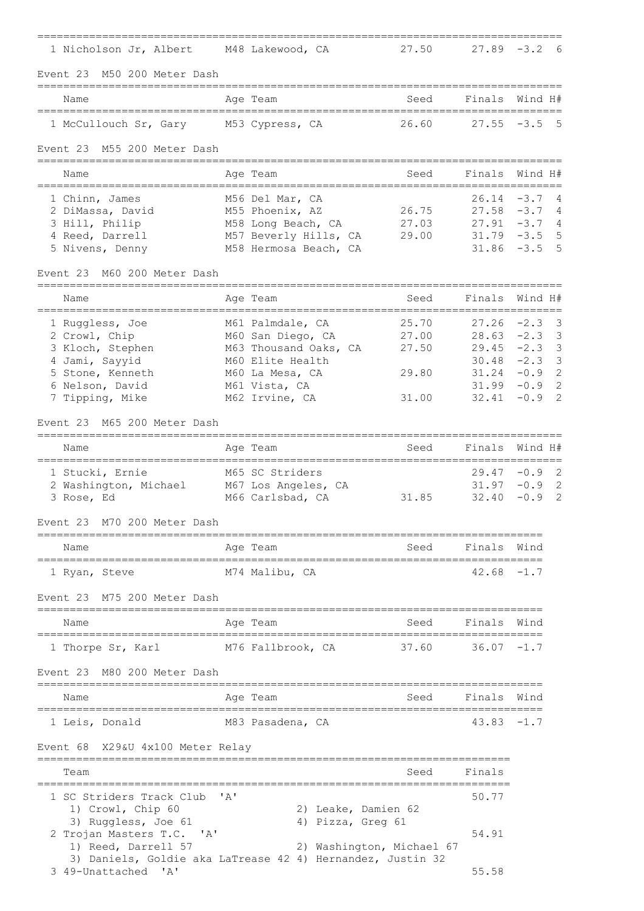| 1 Nicholson Jr, Albert M48 Lakewood, CA                         |                                                            | 27.50                                          |                | $27.89 - 3.2$<br>6                 |
|-----------------------------------------------------------------|------------------------------------------------------------|------------------------------------------------|----------------|------------------------------------|
| Event 23 M50 200 Meter Dash                                     |                                                            |                                                |                |                                    |
| Name                                                            | Age Team                                                   | Seed                                           | Finals         | Wind H#                            |
| 1 McCullouch Sr, Gary M53 Cypress, CA                           | -----------------------------------                        | 26.60                                          |                | $27.55 - 3.5$ 5                    |
| Event 23 M55 200 Meter Dash                                     |                                                            |                                                |                |                                    |
| _____________________________<br>Name<br>---------------------- | Age Team                                                   | Seed                                           | Finals         | Wind H#                            |
| 1 Chinn, James                                                  | M56 Del Mar, CA                                            | =====================================          | 26.14          | $-3.7$<br>4                        |
| 2 DiMassa, David                                                | M55 Phoenix, AZ                                            | 26.75                                          |                | $27.58 - 3.7$<br>-4                |
| 3 Hill, Philip                                                  | M58 Long Beach, CA 27.03                                   |                                                |                | $27.91 - 3.7 4$                    |
| 4 Reed, Darrell<br>5 Nivens, Denny                              | M57 Beverly Hills, CA 29.00<br>M58 Hermosa Beach, CA       |                                                | 31.86          | $31.79 - 3.5$<br>5<br>.5<br>$-3.5$ |
| Event 23 M60 200 Meter Dash                                     |                                                            |                                                |                |                                    |
| Name                                                            | Age Team                                                   | Seed                                           | Finals         | Wind H#                            |
| ;=================================<br>1 Ruggless, Joe           | M61 Palmdale, CA                                           | =====================================<br>25.70 | $27.26 -2.3$   | 3                                  |
| 2 Crowl, Chip                                                   | M60 San Diego, CA                                          | 27.00                                          | $28.63 - 2.3$  | 3                                  |
| 3 Kloch, Stephen                                                | M63 Thousand Oaks, CA                                      | 27.50                                          | 29.45          | $-2.3$<br>3                        |
| 4 Jami, Sayyid                                                  | M60 Elite Health                                           |                                                | 30.48          | $-2.3$<br>3                        |
| 5 Stone, Kenneth                                                | M60 La Mesa, CA                                            | 29.80                                          | 31.24          | $-0.9$<br>2                        |
| 6 Nelson, David<br>7 Tipping, Mike                              | M61 Vista, CA<br>M62 Irvine, CA                            | 31.00                                          | 31.99<br>32.41 | 2<br>$-0.9$<br>$-0.9$<br>2         |
|                                                                 |                                                            |                                                |                |                                    |
| Event 23 M65 200 Meter Dash                                     |                                                            |                                                |                |                                    |
| Name                                                            | Age Team                                                   | Seed                                           | Finals         | Wind H#<br>____________            |
| 1 Stucki, Ernie                                                 | M65 SC Striders                                            |                                                | $29.47 - 0.9$  | 2                                  |
| 2 Washington, Michael M67 Los Angeles, CA                       |                                                            |                                                | 31.97          | $-0.9$<br>2                        |
| 3 Rose, Ed                                                      | M66 Carlsbad, CA                                           | 31.85                                          | 32.40          | $-0.9$<br>2                        |
| Event 23<br>M70 200 Meter Dash                                  |                                                            |                                                |                |                                    |
| Name                                                            | Aqe Team                                                   | Seed                                           | Finals         | Wınd                               |
| 1 Ryan, Steve                                                   | M74 Malibu, CA                                             |                                                | $42.68 - 1.7$  |                                    |
| M75 200 Meter Dash<br>Event 23                                  |                                                            |                                                |                |                                    |
| Name                                                            | Age Team                                                   | Seed                                           | Finals         | Wind                               |
| 1 Thorpe Sr, Karl                                               | M76 Fallbrook, CA                                          | 37.60                                          | $36.07 - 1.7$  |                                    |
| M80 200 Meter Dash<br>Event 23                                  |                                                            |                                                |                |                                    |
| Name                                                            | Aqe Team                                                   | Seed                                           | Finals         | Wind                               |
| 1 Leis, Donald                                                  | M83 Pasadena, CA                                           |                                                | $43.83 - 1.7$  |                                    |
| Event 68 X29&U 4x100 Meter Relay                                |                                                            |                                                |                |                                    |
| Team                                                            |                                                            | Seed                                           | Finals         |                                    |
| 1 SC Striders Track Club                                        | ' A'                                                       |                                                | 50.77          |                                    |
| 1) Crowl, Chip 60                                               | 2) Leake, Damien 62                                        |                                                |                |                                    |
| 3) Ruggless, Joe 61                                             | 4) Pizza, Greg 61                                          |                                                |                |                                    |
| 2 Trojan Masters T.C.<br>' A'<br>1) Reed, Darrell 57            | 2) Washington, Michael 67                                  |                                                | 54.91          |                                    |
|                                                                 | 3) Daniels, Goldie aka LaTrease 42 4) Hernandez, Justin 32 |                                                |                |                                    |
| 3 49-Unattached 'A'                                             |                                                            |                                                | 55.58          |                                    |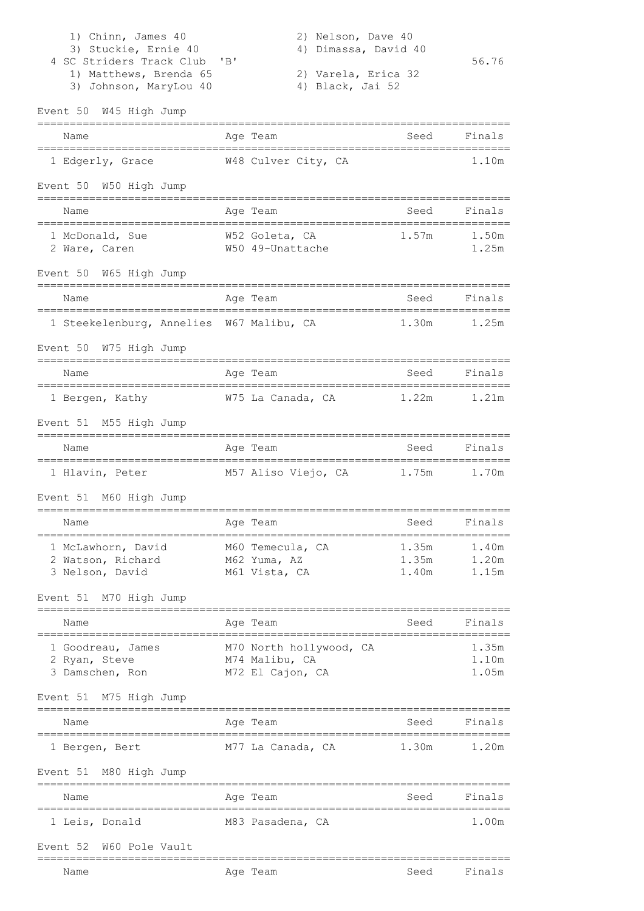| 1) Chinn, James 40<br>3) Stuckie, Ernie 40<br>4 SC Striders Track Club<br>1) Matthews, Brenda 65<br>3) Johnson, MaryLou 40 | 2) Nelson, Dave 40<br>Dimassa, David 40<br>4)<br>"B"<br>2) Varela, Erica 32<br>4) Black, Jai 52 |                         | 56.76                   |
|----------------------------------------------------------------------------------------------------------------------------|-------------------------------------------------------------------------------------------------|-------------------------|-------------------------|
| Event 50 W45 High Jump                                                                                                     |                                                                                                 |                         |                         |
| Name                                                                                                                       | Age Team                                                                                        | Seed                    | Finals                  |
| 1 Edgerly, Grace                                                                                                           | W48 Culver City, CA                                                                             |                         | 1.10m                   |
| Event 50 W50 High Jump                                                                                                     |                                                                                                 |                         |                         |
| Name                                                                                                                       | Age Team                                                                                        | Seed                    | Finals                  |
| 1 McDonald, Sue<br>2 Ware, Caren                                                                                           | W52 Goleta, CA<br>W50 49-Unattache                                                              | 1.57m                   | 1.50m<br>1.25m          |
| Event 50 W65 High Jump                                                                                                     |                                                                                                 |                         |                         |
| Name                                                                                                                       | Age Team                                                                                        | Seed                    | Finals                  |
| 1 Steekelenburg, Annelies W67 Malibu, CA                                                                                   |                                                                                                 | 1.30m                   | 1.25m                   |
| Event 50 W75 High Jump<br>=================                                                                                |                                                                                                 |                         |                         |
| Name<br>.=============                                                                                                     | Age Team                                                                                        | Seed                    | Finals                  |
| 1 Bergen, Kathy                                                                                                            | W75 La Canada, CA                                                                               | 1.22m                   | 1.21m                   |
| Event 51 M55 High Jump                                                                                                     | __________                                                                                      |                         |                         |
| Name                                                                                                                       | Age Team                                                                                        | Seed                    | Finals                  |
| 1 Hlavin, Peter                                                                                                            | M57 Aliso Viejo, CA                                                                             | 1.75m                   | 1.70m                   |
| Event 51 M60 High Jump                                                                                                     |                                                                                                 |                         |                         |
| Name                                                                                                                       | Age Team                                                                                        | Seed                    | Finals                  |
| 1 McLawhorn, David<br>2 Watson, Richard<br>3 Nelson, David                                                                 | M60 Temecula, CA<br>M62 Yuma, AZ<br>M61 Vista, CA                                               | 1.35m<br>1.35m<br>1.40m | 1.40m<br>1.20m<br>1.15m |
| Event 51 M70 High Jump                                                                                                     |                                                                                                 |                         |                         |
| Name                                                                                                                       | Age Team                                                                                        | Seed                    | Finals                  |
| 1 Goodreau, James<br>2 Ryan, Steve<br>3 Damschen, Ron                                                                      | M70 North hollywood, CA<br>M74 Malibu, CA<br>M72 El Cajon, CA                                   |                         | 1.35m<br>1.10m<br>1.05m |
| Event 51 M75 High Jump                                                                                                     |                                                                                                 |                         |                         |
| Name                                                                                                                       | Age Team                                                                                        | Seed                    | Finals                  |
| 1 Bergen, Bert                                                                                                             | M77 La Canada, CA                                                                               | 1.30m                   | 1.20m                   |
| Event 51 M80 High Jump                                                                                                     |                                                                                                 |                         |                         |
| Name                                                                                                                       | Age Team                                                                                        | Seed                    | Finals                  |
| 1 Leis, Donald                                                                                                             | M83 Pasadena, CA                                                                                |                         | 1.00m                   |
| Event 52<br>W60 Pole Vault                                                                                                 |                                                                                                 |                         |                         |
| Name                                                                                                                       | Age Team                                                                                        | Seed                    | Finals                  |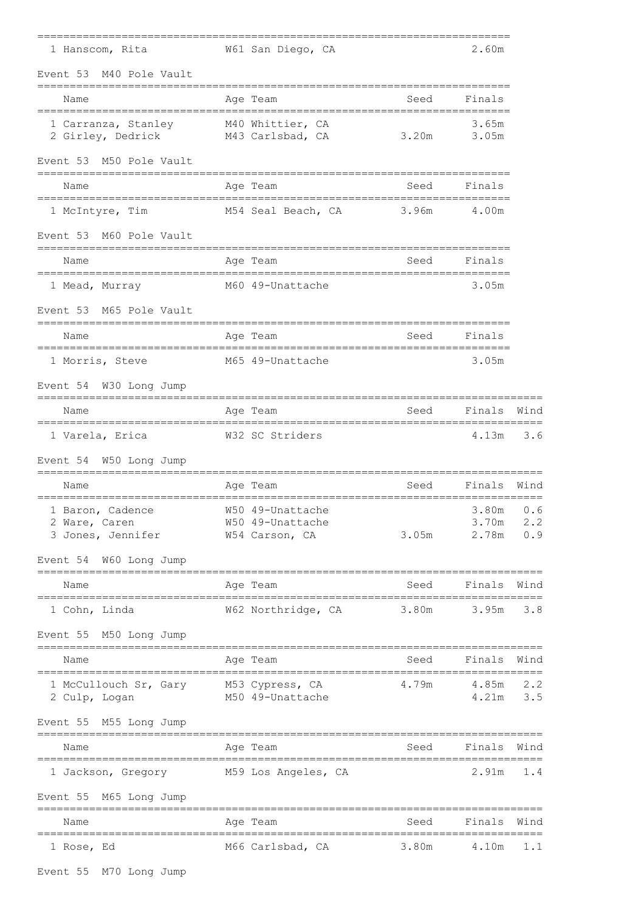| 1 Hanscom, Rita                                           | W61 San Diego, CA                                      |       | 2.60m                   |                    |
|-----------------------------------------------------------|--------------------------------------------------------|-------|-------------------------|--------------------|
| Event 53<br>M40 Pole Vault                                |                                                        |       |                         |                    |
| Name                                                      | Age Team                                               | Seed  | Finals                  |                    |
| 1 Carranza, Stanley<br>2 Girley, Dedrick M43 Carlsbad, CA | M40 Whittier, CA                                       | 3.20m | 3.65m<br>3.05m          |                    |
| Event 53 M50 Pole Vault                                   |                                                        |       |                         |                    |
| Name                                                      | Age Team                                               | Seed  | Finals                  |                    |
| 1 McIntyre, Tim                                           | M54 Seal Beach, CA                                     | 3.96m | 4.00m                   |                    |
| Event 53 M60 Pole Vault                                   |                                                        |       |                         |                    |
| Name                                                      | Age Team                                               | Seed  | Finals                  |                    |
| 1 Mead, Murray                                            | M60 49-Unattache                                       |       | 3.05m                   |                    |
| Event 53 M65 Pole Vault                                   |                                                        |       |                         |                    |
| Name                                                      | Age Team                                               | Seed  | Finals                  |                    |
| 1 Morris, Steve                                           | M65 49-Unattache                                       |       | 3.05m                   |                    |
| Event 54 W30 Long Jump                                    |                                                        |       |                         |                    |
| Name                                                      | Age Team                                               | Seed  | Finals                  | Wind               |
| 1 Varela, Erica                                           | W32 SC Striders                                        |       | 4.13m                   | 3.6                |
| Event 54 W50 Long Jump                                    |                                                        |       |                         |                    |
| Name                                                      | Age Team                                               | Seed  | Finals                  | Wind               |
| 1 Baron, Cadence<br>2 Ware, Caren<br>3 Jones, Jennifer    | W50 49-Unattache<br>W50 49-Unattache<br>W54 Carson, CA | 3.05m | 3.80m<br>3.70m<br>2.78m | 0.6<br>2.2<br>0.9  |
| Event 54 W60 Long Jump                                    |                                                        |       |                         |                    |
| Name                                                      | Age Team                                               | Seed  | Finals                  | Wind               |
| 1 Cohn, Linda                                             | W62 Northridge, CA                                     | 3.80m | 3.95m                   | 3.8                |
| Event 55 M50 Long Jump<br>------------------------------  |                                                        |       |                         |                    |
| Name                                                      | Age Team                                               | Seed  | Finals                  | Wind               |
| 1 McCullouch Sr, Gary<br>2 Culp, Logan                    | M53 Cypress, CA<br>M50 49-Unattache                    | 4.79m | 4.85m<br>4.21m          | $2 \cdot 2$<br>3.5 |
| Event 55 M55 Long Jump                                    |                                                        |       |                         |                    |
| Name                                                      | Age Team                                               | Seed  | Finals                  | Wind               |
| 1 Jackson, Gregory M59 Los Angeles, CA                    |                                                        |       | 2.91m                   | 1.4                |
| Event 55 M65 Long Jump                                    |                                                        |       |                         |                    |
| Name                                                      | Age Team                                               | Seed  | Finals                  | Wind               |
| 1 Rose, Ed                                                | M66 Carlsbad, CA                                       | 3.80m | 4.10m                   | 1.1                |

Event 55 M70 Long Jump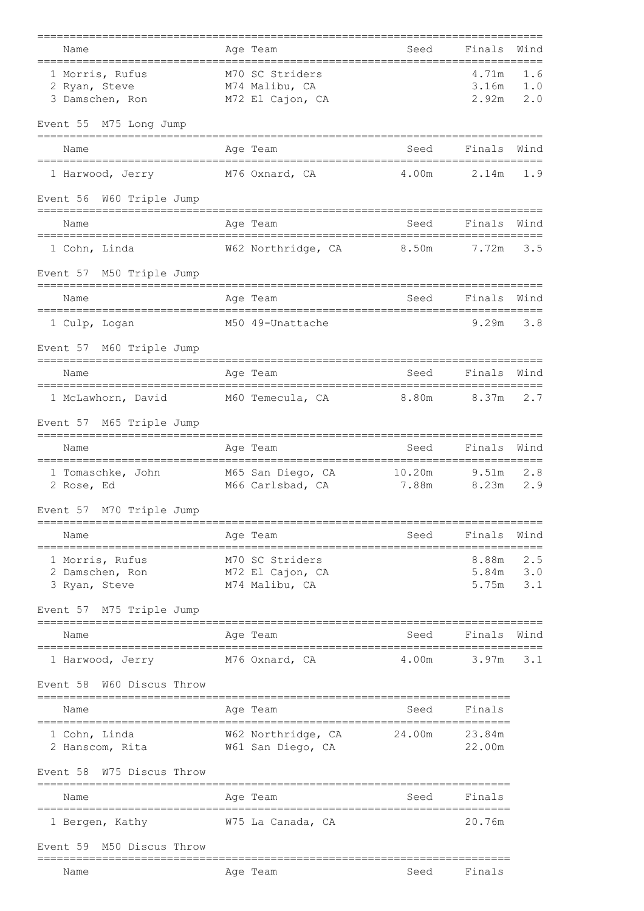| Name                                                     |             | Age Team                                              | Seed   | Finals                  | Wind              |
|----------------------------------------------------------|-------------|-------------------------------------------------------|--------|-------------------------|-------------------|
| 1 Morris, Rufus<br>2 Ryan, Steve<br>3 Damschen, Ron      |             | M70 SC Striders<br>M74 Malibu, CA<br>M72 El Cajon, CA |        | 4.71m<br>3.16m<br>2.92m | 1.6<br>1.0<br>2.0 |
| Event 55 M75 Long Jump                                   |             |                                                       |        |                         |                   |
| Name                                                     |             | Age Team                                              | Seed   | Finals                  | Wind              |
| 1 Harwood, Jerry                                         |             | M76 Oxnard, CA                                        | 4.00m  | 2.14m                   | 1.9               |
| Event 56 W60 Triple Jump                                 |             |                                                       |        |                         |                   |
| Name                                                     |             | Age Team                                              | Seed   | Finals                  | Wind              |
| 1 Cohn, Linda                                            |             | W62 Northridge, CA                                    | 8.50m  | 7.72m                   | 3.5               |
| Event 57 M50 Triple Jump                                 |             |                                                       |        |                         |                   |
| Name                                                     |             | Age Team                                              | Seed   | Finals                  | Wind              |
| 1 Culp, Logan                                            |             | M50 49-Unattache                                      |        | 9.29m                   | 3.8               |
| Event 57 M60 Triple Jump                                 |             |                                                       |        |                         |                   |
| Name                                                     |             | Age Team                                              | Seed   | Finals                  | Wind              |
| 1 McLawhorn, David M60 Temecula, CA 8.80m                |             |                                                       |        | 8.37m                   | 2.7               |
| Event 57 M65 Triple Jump                                 |             |                                                       |        |                         |                   |
| Name                                                     |             | Age Team                                              | Seed   | Finals<br>========      | Wind              |
| 1 Tomaschke, John M65 San Diego, CA 10.20m<br>2 Rose, Ed |             | M66 Carlsbad, CA                                      | 7.88m  | 9.51m<br>8.23m          | 2.8<br>2.9        |
| Event 57 M70 Triple Jump                                 |             |                                                       |        |                         |                   |
| Name                                                     |             | Age Team                                              | Seed   | Finals                  | Wind              |
| 1 Morris, Rufus<br>2 Damschen, Ron<br>3 Ryan, Steve      |             | M70 SC Striders<br>M72 El Cajon, CA<br>M74 Malibu, CA |        | 8.88m<br>5.84m<br>5.75m | 2.5<br>3.0<br>3.1 |
| Event 57 M75 Triple Jump                                 |             |                                                       |        |                         |                   |
| Name                                                     |             | Age Team                                              | Seed   | Finals                  | Wind              |
| 1 Harwood, Jerry                                         |             | M76 Oxnard, CA                                        | 4.00m  | 3.97m                   | 3.1               |
| W60 Discus Throw<br>Event 58                             |             |                                                       |        |                         |                   |
| Name                                                     |             | Age Team                                              | Seed   | Finals                  |                   |
| 1 Cohn, Linda<br>2 Hanscom, Rita                         |             | W62 Northridge, CA<br>W61 San Diego, CA               | 24.00m | 23.84m<br>22.00m        |                   |
| Event 58 W75 Discus Throw                                | =========== |                                                       |        |                         |                   |
| Name                                                     |             | Age Team                                              | Seed   | Finals                  |                   |
| 1 Bergen, Kathy                                          |             | W75 La Canada, CA                                     |        | 20.76m                  |                   |
| M50 Discus Throw<br>Event 59                             |             |                                                       |        |                         |                   |
| Name                                                     |             | Age Team                                              | Seed   | Finals                  |                   |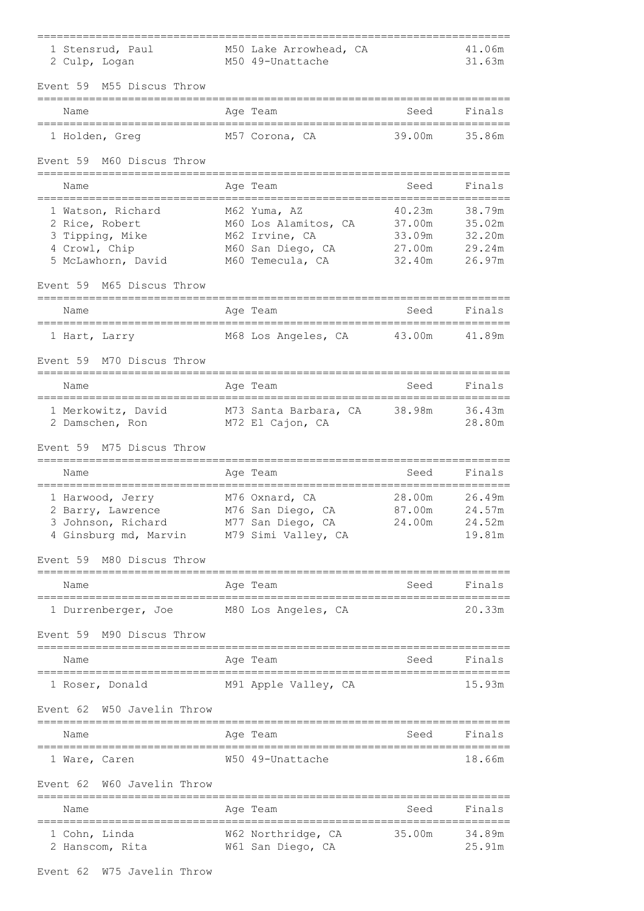| 1 Stensrud, Paul<br>2 Culp, Logan                                                             | M50 Lake Arrowhead, CA<br>M50 49-Unattache                                                      |                                                | 41.06m<br>31.63m                               |
|-----------------------------------------------------------------------------------------------|-------------------------------------------------------------------------------------------------|------------------------------------------------|------------------------------------------------|
| Event 59<br>M55 Discus Throw                                                                  |                                                                                                 |                                                |                                                |
| Name                                                                                          | Age Team                                                                                        | Seed                                           | Finals                                         |
| 1 Holden, Greq                                                                                | M57 Corona, CA                                                                                  | 39.00m                                         | 35.86m                                         |
| Event 59<br>M60 Discus Throw                                                                  |                                                                                                 |                                                |                                                |
| Name                                                                                          | Age Team                                                                                        | Seed                                           | Finals                                         |
| 1 Watson, Richard<br>2 Rice, Robert<br>3 Tipping, Mike<br>4 Crowl, Chip<br>5 McLawhorn, David | M62 Yuma, AZ<br>M60 Los Alamitos, CA<br>M62 Irvine, CA<br>M60 San Diego, CA<br>M60 Temecula, CA | 40.23m<br>37.00m<br>33.09m<br>27.00m<br>32.40m | 38.79m<br>35.02m<br>32.20m<br>29.24m<br>26.97m |
| M65 Discus Throw<br>Event 59                                                                  |                                                                                                 |                                                |                                                |
| Name                                                                                          | Age Team                                                                                        | Seed                                           | Finals                                         |
| 1 Hart, Larry                                                                                 | M68 Los Angeles, CA                                                                             | 43.00m                                         | 41.89m                                         |
| Event 59<br>M70 Discus Throw                                                                  |                                                                                                 |                                                |                                                |
| Name                                                                                          | Age Team                                                                                        | Seed                                           | Finals                                         |
| 1 Merkowitz, David<br>2 Damschen, Ron                                                         | M73 Santa Barbara, CA<br>M72 El Cajon, CA                                                       | 38.98m                                         | 36.43m<br>28.80m                               |
| Event 59<br>M75 Discus Throw                                                                  |                                                                                                 |                                                |                                                |
| Name                                                                                          | Age Team                                                                                        | Seed                                           | Finals                                         |
| 1 Harwood, Jerry<br>2 Barry, Lawrence<br>3 Johnson, Richard<br>4 Ginsburg md, Marvin          | M76 Oxnard, CA<br>M76 San Diego, CA<br>M77 San Diego, CA<br>M79 Simi Valley, CA                 | 28.00m<br>87.00m<br>24.00m                     | 26.49m<br>24.57m<br>24.52m<br>19.81m           |
| Event 59<br>M80 Discus Throw                                                                  |                                                                                                 |                                                |                                                |
| Name                                                                                          | Age Team                                                                                        | Seed                                           | Finals                                         |
| 1 Durrenberger, Joe M80 Los Angeles, CA<br>Event 59 M90 Discus Throw                          |                                                                                                 |                                                | 20.33m                                         |
| Name                                                                                          | Age Team                                                                                        | Seed                                           | Finals                                         |
| 1 Roser, Donald                                                                               | M91 Apple Valley, CA                                                                            |                                                | 15.93m                                         |
| W50 Javelin Throw<br>Event 62                                                                 |                                                                                                 |                                                |                                                |
| Name                                                                                          | Age Team                                                                                        | Seed                                           | Finals                                         |
| ;===================================<br>1 Ware, Caren                                         | W50 49-Unattache                                                                                |                                                | 18.66m                                         |
| W60 Javelin Throw<br>Event 62                                                                 |                                                                                                 |                                                |                                                |
| Name                                                                                          | Age Team                                                                                        | Seed                                           | Finals                                         |
| 1 Cohn, Linda<br>2 Hanscom, Rita                                                              | W62 Northridge, CA<br>W61 San Diego, CA                                                         | 35.00m                                         | 34.89m<br>25.91m                               |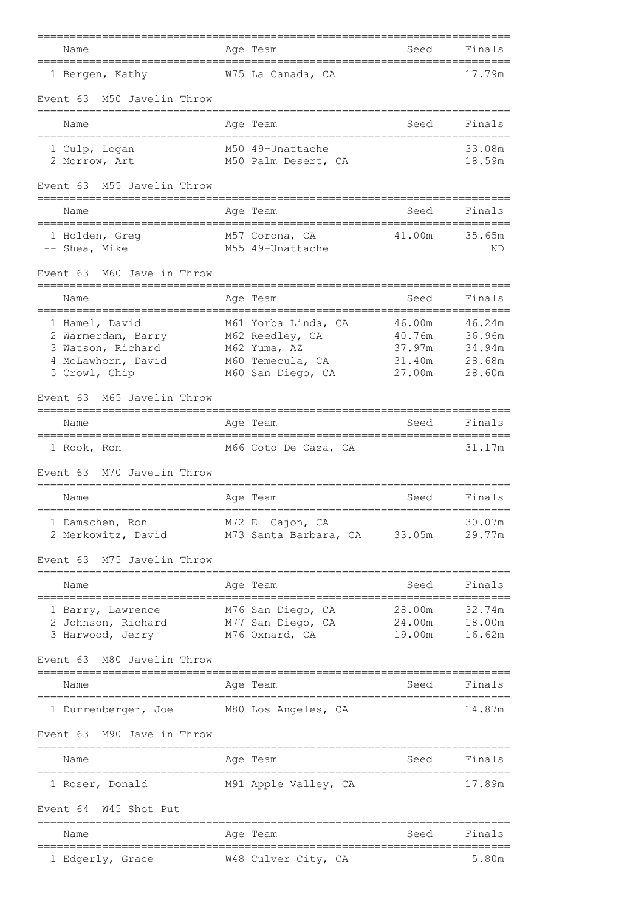| Name                                                                                             | Age Team                                                                                        | Seed                                           | Finals                                         |
|--------------------------------------------------------------------------------------------------|-------------------------------------------------------------------------------------------------|------------------------------------------------|------------------------------------------------|
| 1 Bergen, Kathy                                                                                  | W75 La Canada, CA                                                                               |                                                | 17.79m                                         |
| Event 63<br>M50 Javelin Throw                                                                    |                                                                                                 |                                                |                                                |
| Name                                                                                             | Age Team                                                                                        | Seed                                           | Finals                                         |
| 1 Culp, Logan<br>2 Morrow, Art                                                                   | M50 49-Unattache<br>M50 Palm Desert, CA                                                         |                                                | 33.08m<br>18.59m                               |
| M55 Javelin Throw<br>Event 63                                                                    |                                                                                                 |                                                |                                                |
| Name                                                                                             | Age Team                                                                                        | Seed                                           | Finals                                         |
| 1 Holden, Greq<br>-- Shea, Mike                                                                  | M57 Corona, CA<br>M55 49-Unattache                                                              | 41.00m                                         | 35.65m<br>ND                                   |
| M60 Javelin Throw<br>Event 63                                                                    |                                                                                                 |                                                |                                                |
| Name                                                                                             | Age Team                                                                                        | Seed                                           | Finals                                         |
| 1 Hamel, David<br>2 Warmerdam, Barry<br>3 Watson, Richard<br>4 McLawhorn, David<br>5 Crowl, Chip | M61 Yorba Linda, CA<br>M62 Reedley, CA<br>M62 Yuma, AZ<br>M60 Temecula, CA<br>M60 San Diego, CA | 46.00m<br>40.76m<br>37.97m<br>31.40m<br>27.00m | 46.24m<br>36.96m<br>34.94m<br>28.68m<br>28.60m |
| Event 63<br>M65 Javelin Throw                                                                    |                                                                                                 |                                                |                                                |
| Name                                                                                             | Age Team                                                                                        | Seed                                           | Finals                                         |
| 1 Rook, Ron<br>M70 Javelin Throw<br>Event 63                                                     | M66 Coto De Caza, CA                                                                            |                                                | 31.17m                                         |
| Name                                                                                             | Age Team                                                                                        | Seed                                           | Finals                                         |
| 1 Damschen, Ron<br>2 Merkowitz, David                                                            | M72 El Cajon, CA<br>M73 Santa Barbara, CA 33.05m                                                |                                                | 30.07m<br>29.77m                               |
| M75 Javelin Throw<br>Event 63                                                                    |                                                                                                 |                                                |                                                |
| Name                                                                                             | Age Team                                                                                        | Seed                                           | Finals                                         |
| 1 Barry, Lawrence<br>2 Johnson, Richard<br>3 Harwood, Jerry                                      | M76 San Diego, CA<br>M77 San Diego, CA<br>M76 Oxnard, CA                                        | 28.00m<br>24.00m<br>19.00m                     | 32.74m<br>18.00m<br>16.62m                     |
| M80 Javelin Throw<br>Event 63                                                                    |                                                                                                 |                                                |                                                |
| Name                                                                                             | Age Team                                                                                        | Seed                                           | Finals                                         |
| 1 Durrenberger, Joe                                                                              | M80 Los Angeles, CA                                                                             |                                                | 14.87m                                         |
| M90 Javelin Throw<br>Event 63                                                                    |                                                                                                 |                                                |                                                |
| Name                                                                                             | Age Team                                                                                        | Seed                                           | Finals                                         |
| 1 Roser, Donald                                                                                  | M91 Apple Valley, CA                                                                            |                                                | 17.89m                                         |
| W45 Shot Put<br>Event 64                                                                         |                                                                                                 |                                                |                                                |
| Name                                                                                             | Age Team                                                                                        | Seed                                           | Finals                                         |
| 1 Edgerly, Grace                                                                                 | W48 Culver City, CA                                                                             |                                                | 5.80m                                          |